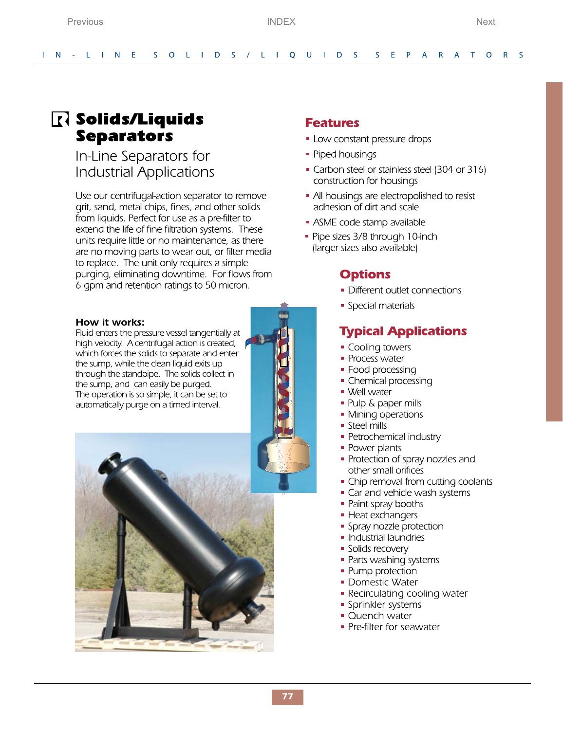# <span id="page-0-1"></span><span id="page-0-0"></span>R Solids/Liquids **Separators**

## In-Line Separators for **Industrial Applications**

Use our centrifugal-action separator to remove grit, sand, metal chips, fines, and other solids from liquids. Perfect for use as a pre-filter to extend the life of fine filtration systems. These units require little or no maintenance, as there are no moving parts to wear out, or filter media to replace. The unit only requires a simple purging, eliminating downtime. For flows from 6 gpm and retention ratings to 50 micron.

### How it works:

Fluid enters the pressure vessel tangentially at high velocity. A centrifugal action is created,  $\Box$ which forces the solids to separate and enter the sump, while the clean liquid exits up through the standpipe. The solids collect in the sump, and can easily be purged. The operation is so simple, it can be set to automatically purge on a timed interval.



## **Features**

- Low constant pressure drops
- Piped housings
- Carbon steel or stainless steel (304 or 316) construction for housings
- All housings are electropolished to resist adhesion of dirt and scale
- ASME code stamp available
- Pipe sizes 3/8 through 10-inch (larger sizes also available)

## **Options**

- Different outlet connections
- Special materials

## **Typical Applications**

- Cooling towers
- Process water
- Food processing
- Chemical processing
- Well water
- Pulp & paper mills
- Mining operations
- Steel mills
- Petrochemical industry
- Power plants
- Protection of spray nozzles and other small orifices
- Chip removal from cutting coolants
- Car and vehicle wash systems
- Paint spray booths
- Heat exchangers
- Spray nozzle protection
- Industrial laundries
- Solids recovery
- Parts washing systems
- Pump protection
- Domestic Water
- Recirculating cooling water
- Sprinkler systems
- Quench water
- Pre-filter for seawater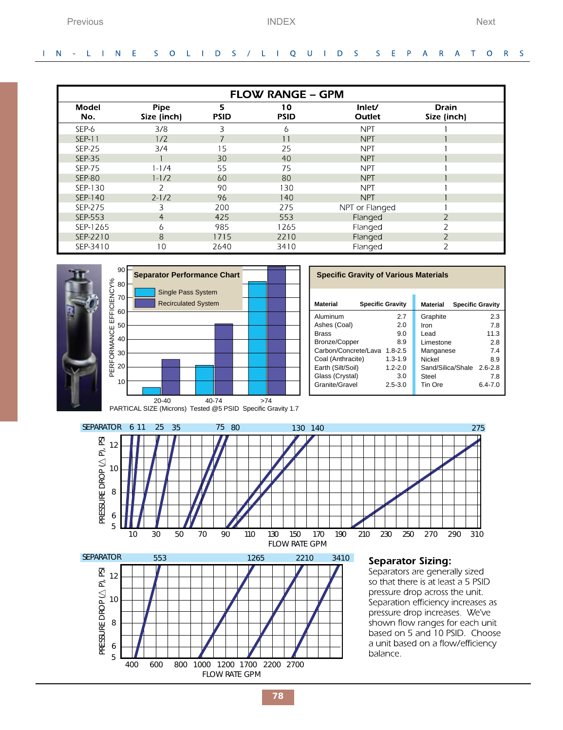### <span id="page-1-0"></span>IN - LINE SOLIDS / LIQUIDS S E P A R A  $\top$ O R S

| <b>FLOW RANGE - GPM</b> |                            |                  |                   |                  |                             |  |  |  |
|-------------------------|----------------------------|------------------|-------------------|------------------|-----------------------------|--|--|--|
| Model<br>No.            | <b>Pipe</b><br>Size (inch) | 5<br><b>PSID</b> | 10<br><b>PSID</b> | Inlet/<br>Outlet | <b>Drain</b><br>Size (inch) |  |  |  |
| SEP-6                   | 3/8                        | 3                | 6                 | <b>NPT</b>       |                             |  |  |  |
| <b>SEP-11</b>           | 1/2                        |                  | 11                | <b>NPT</b>       |                             |  |  |  |
| <b>SEP-25</b>           | 3/4                        | 15               | 25                | <b>NPT</b>       |                             |  |  |  |
| <b>SEP-35</b>           |                            | 30               | 40                | <b>NPT</b>       |                             |  |  |  |
| <b>SEP-75</b>           | $1 - 1/4$                  | 55               | 75                | <b>NPT</b>       |                             |  |  |  |
| <b>SEP-80</b>           | $1 - 1/2$                  | 60               | 80                | <b>NPT</b>       |                             |  |  |  |
| SEP-130                 | 2                          | 90               | 130               | <b>NPT</b>       |                             |  |  |  |
| SEP-140                 | $2 - 1/2$                  | 96               | 140               | <b>NPT</b>       |                             |  |  |  |
| SEP-275                 | З                          | 200              | 275               | NPT or Flanged   |                             |  |  |  |
| SEP-553                 | 4                          | 425              | 553               | Flanged          | $\overline{\phantom{a}}$    |  |  |  |
| SEP-1265                | 6                          | 985              | 1265              | Flanged          |                             |  |  |  |
| SEP-2210                | 8                          | 1715             | 2210              | Flanged          |                             |  |  |  |
| SEP-3410                | 10                         | 2640             | 3410              | Flanged          | っ                           |  |  |  |





| <b>Material</b><br><b>Specific Gravity</b> | <b>Specific Gravity</b><br><b>Material</b> |                   |             |
|--------------------------------------------|--------------------------------------------|-------------------|-------------|
| Aluminum                                   | 2.7                                        | Graphite          | 2.3         |
| Ashes (Coal)                               | 2.0                                        | Iron              | 7.8         |
| <b>Brass</b>                               | 9.0                                        | Lead              | 11.3        |
| Bronze/Copper<br>8.9                       |                                            | Limestone         | 2.8         |
| Carbon/Concrete/Lava<br>$1.8 - 2.5$        |                                            | Manganese         | 74          |
| Coal (Anthracite)                          | $1.3 - 1.9$                                | Nickel            | 8.9         |
| Earth (Silt/Soil)                          | $1.2 - 2.0$                                | Sand/Silica/Shale | $2.6 - 2.8$ |
| Glass (Crystal)                            | 3.0                                        | Steel             | 7.8         |
| Granite/Gravel                             | $2.5 - 3.0$                                | Tin Ore           | $6.4 - 7.0$ |
|                                            |                                            |                   |             |





### **Separator Sizing:**

Separators are generally sized so that there is at least a 5 PSID pressure drop across the unit. Separation efficiency increases as pressure drop increases. We've shown flow ranges for each unit based on 5 and 10 PSID. Choose a unit based on a flow/efficiency balance.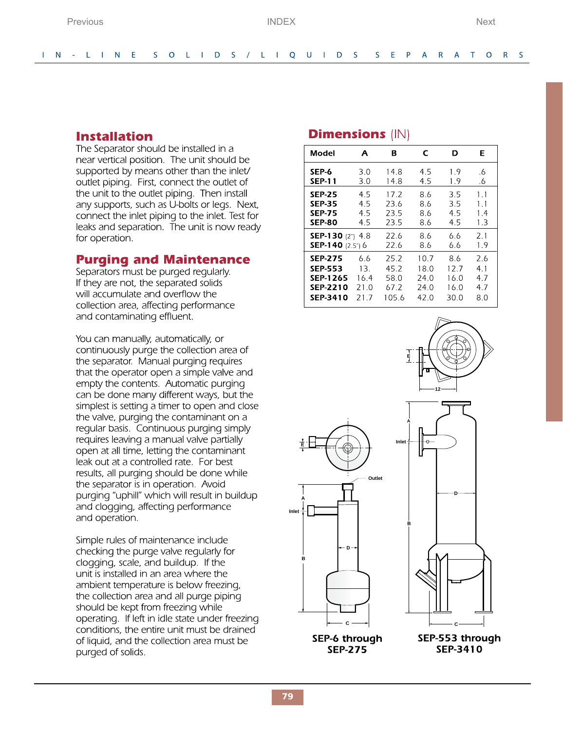### <span id="page-2-0"></span> $\mathbf{L}$  $N - L + N E$ S O L I D S / L I Q U I D S S E P A R A T O R S

## **Installation**

The Separator should be installed in a near vertical position. The unit should be supported by means other than the inlet/ outlet piping. First, connect the outlet of the unit to the outlet piping. Then install any supports, such as U-bolts or legs. Next, connect the inlet piping to the inlet. Test for leaks and separation. The unit is now ready for operation.

## **Purging and Maintenance**

Separators must be purged regularly. If they are not, the separated solids will accumulate and overflow the collection area, affecting performance and contaminating effluent.

You can manually, automatically, or continuously purge the collection area of the separator. Manual purging requires that the operator open a simple valve and empty the contents. Automatic purging can be done many different ways, but the simplest is setting a timer to open and close the valve, purging the contaminant on a regular basis. Continuous purging simply requires leaving a manual valve partially open at all time, letting the contaminant leak out at a controlled rate. For best results, all purging should be done while the separator is in operation. Avoid purging "uphill" which will result in buildup and clogging, affecting performance and operation.

Simple rules of maintenance include checking the purge valve regularly for clogging, scale, and buildup. If the unit is installed in an area where the ambient temperature is below freezing, the collection area and all purge piping should be kept from freezing while operating. If left in idle state under freezing conditions, the entire unit must be drained of liquid, and the collection area must be purged of solids.

## **Dimensions** (IN)

| Model                   | A    | в     | C    | D    | Е         |
|-------------------------|------|-------|------|------|-----------|
| SEP-6                   | 3.0  | 14.8  | 4.5  | 1.9  | .6        |
| SEP-11                  | 3.0  | 14 8  | 4.5  | 19   | $\cdot 6$ |
| <b>SEP-25</b>           | 4.5  | 17.2  | 8.6  | 3.5  | 11        |
| <b>SEP-35</b>           | 45   | 23.6  | 86   | 35   | $1\quad1$ |
| <b>SEP-75</b>           | 4.5  | 23.5  | 8.6  | 4.5  | 1.4       |
| <b>SEP-80</b>           | 4.5  | 23.5  | 8.6  | 4.5  | 1.3       |
| <b>SEP-130</b> (2") 4.8 |      | 22.6  | 8.6  | 6.6  | 2.1       |
| <b>SEP-140</b> (2.5") 6 |      | 22 G  | 8.6  | 6.6  | 1.9       |
| <b>SEP-275</b>          | 6.6  | 25.2  | 10.7 | 8.6  | 2.6       |
| <b>SEP-553</b>          | 13.  | 45.2  | 18.0 | 12.7 | 4.1       |
| <b>SEP-1265</b>         | 16.4 | 58.0  | 24.0 | 16.0 | 4.7       |
| <b>SEP-2210</b>         | 21.0 | 67.2  | 24.0 | 16.0 | 4.7       |
| <b>SEP-3410</b>         | 217  | 105.6 | 42 O | 30.0 | 8.0       |



**SEP-275**